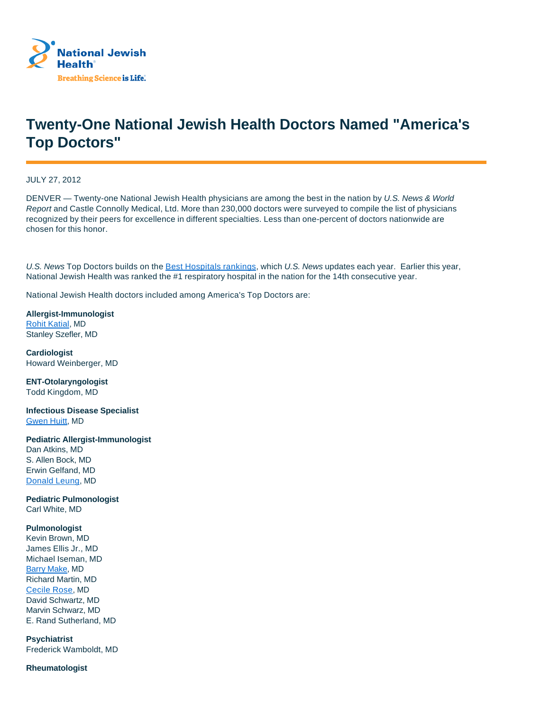

## **Twenty-One National Jewish Health Doctors Named "America's Top Doctors"**

JULY 27, 2012

DENVER — Twenty-one National Jewish Health physicians are among the best in the nation by U.S. News & World Report and Castle Connolly Medical, Ltd. More than 230,000 doctors were surveyed to compile the list of physicians recognized by their peers for excellence in different specialties. Less than one-percent of doctors nationwide are chosen for this honor.

U.S. News Top Doctors builds on the Best Hospitals rankings, which U.S. News updates each year. Earlier this year, National Jewish Health was ranked the #1 respiratory hospital in the nation for the 14th consecutive year.

National Jewish Health doctors included among America's Top Doctors are:

**Allergist-Immunologist** Rohit Katial, MD Stanley Szefler, MD

**Cardiologist** Howard Weinberger, MD

**ENT-Otolaryngologist** Todd Kingdom, MD

**Infectious Disease Specialist** Gwen Huitt, MD

**Pediatric Allergist-Immunologist**

Dan Atkins, MD S. Allen Bock, MD Erwin Gelfand, MD Donald Leung, MD

**Pediatric Pulmonologist** Carl White, MD

## **Pulmonologist**

Kevin Brown, MD James Ellis Jr., MD Michael Iseman, MD Barry Make, MD Richard Martin, MD Cecile Rose, MD David Schwartz, MD Marvin Schwarz, MD E. Rand Sutherland, MD

**Psychiatrist** Frederick Wamboldt, MD

## **Rheumatologist**